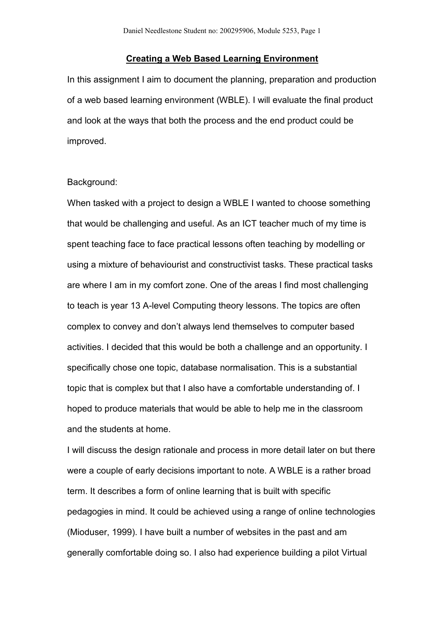#### **Creating a Web Based Learning Environment**

In this assignment I aim to document the planning, preparation and production of a web based learning environment (WBLE). I will evaluate the final product and look at the ways that both the process and the end product could be improved.

## Background:

When tasked with a project to design a WBLE I wanted to choose something that would be challenging and useful. As an ICT teacher much of my time is spent teaching face to face practical lessons often teaching by modelling or using a mixture of behaviourist and constructivist tasks. These practical tasks are where I am in my comfort zone. One of the areas I find most challenging to teach is year 13 A-level Computing theory lessons. The topics are often complex to convey and don't always lend themselves to computer based activities. I decided that this would be both a challenge and an opportunity. I specifically chose one topic, database normalisation. This is a substantial topic that is complex but that I also have a comfortable understanding of. I hoped to produce materials that would be able to help me in the classroom and the students at home.

I will discuss the design rationale and process in more detail later on but there were a couple of early decisions important to note. A WBLE is a rather broad term. It describes a form of online learning that is built with specific pedagogies in mind. It could be achieved using a range of online technologies (Mioduser, 1999). I have built a number of websites in the past and am generally comfortable doing so. I also had experience building a pilot Virtual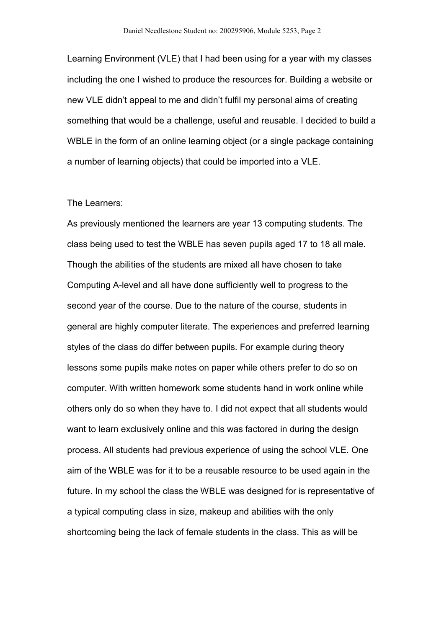Learning Environment (VLE) that I had been using for a year with my classes including the one I wished to produce the resources for. Building a website or new VLE didn't appeal to me and didn't fulfil my personal aims of creating something that would be a challenge, useful and reusable. I decided to build a WBLE in the form of an online learning object (or a single package containing a number of learning objects) that could be imported into a VLE.

#### The Learners:

As previously mentioned the learners are year 13 computing students. The class being used to test the WBLE has seven pupils aged 17 to 18 all male. Though the abilities of the students are mixed all have chosen to take Computing A-level and all have done sufficiently well to progress to the second year of the course. Due to the nature of the course, students in general are highly computer literate. The experiences and preferred learning styles of the class do differ between pupils. For example during theory lessons some pupils make notes on paper while others prefer to do so on computer. With written homework some students hand in work online while others only do so when they have to. I did not expect that all students would want to learn exclusively online and this was factored in during the design process. All students had previous experience of using the school VLE. One aim of the WBLE was for it to be a reusable resource to be used again in the future. In my school the class the WBLE was designed for is representative of a typical computing class in size, makeup and abilities with the only shortcoming being the lack of female students in the class. This as will be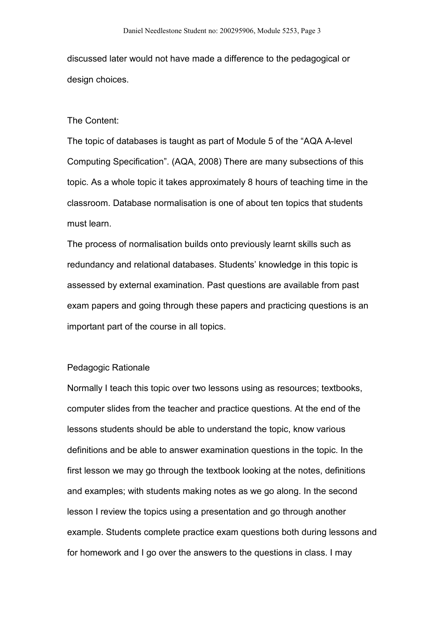discussed later would not have made a difference to the pedagogical or design choices.

## The Content:

The topic of databases is taught as part of Module 5 of the "AQA A-level Computing Specification". (AQA, 2008) There are many subsections of this topic. As a whole topic it takes approximately 8 hours of teaching time in the classroom. Database normalisation is one of about ten topics that students must learn.

The process of normalisation builds onto previously learnt skills such as redundancy and relational databases. Students' knowledge in this topic is assessed by external examination. Past questions are available from past exam papers and going through these papers and practicing questions is an important part of the course in all topics.

# Pedagogic Rationale

Normally I teach this topic over two lessons using as resources; textbooks, computer slides from the teacher and practice questions. At the end of the lessons students should be able to understand the topic, know various definitions and be able to answer examination questions in the topic. In the first lesson we may go through the textbook looking at the notes, definitions and examples; with students making notes as we go along. In the second lesson I review the topics using a presentation and go through another example. Students complete practice exam questions both during lessons and for homework and I go over the answers to the questions in class. I may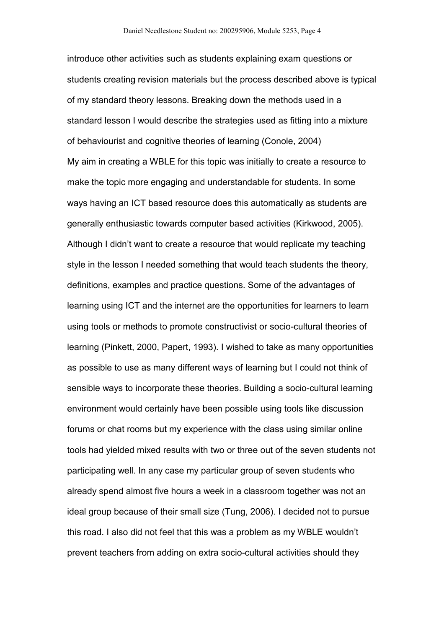introduce other activities such as students explaining exam questions or students creating revision materials but the process described above is typical of my standard theory lessons. Breaking down the methods used in a standard lesson I would describe the strategies used as fitting into a mixture of behaviourist and cognitive theories of learning (Conole, 2004) My aim in creating a WBLE for this topic was initially to create a resource to make the topic more engaging and understandable for students. In some ways having an ICT based resource does this automatically as students are generally enthusiastic towards computer based activities (Kirkwood, 2005). Although I didn't want to create a resource that would replicate my teaching style in the lesson I needed something that would teach students the theory, definitions, examples and practice questions. Some of the advantages of learning using ICT and the internet are the opportunities for learners to learn using tools or methods to promote constructivist or socio-cultural theories of learning (Pinkett, 2000, Papert, 1993). I wished to take as many opportunities as possible to use as many different ways of learning but I could not think of sensible ways to incorporate these theories. Building a socio-cultural learning environment would certainly have been possible using tools like discussion forums or chat rooms but my experience with the class using similar online tools had yielded mixed results with two or three out of the seven students not participating well. In any case my particular group of seven students who already spend almost five hours a week in a classroom together was not an ideal group because of their small size (Tung, 2006). I decided not to pursue this road. I also did not feel that this was a problem as my WBLE wouldn't prevent teachers from adding on extra socio-cultural activities should they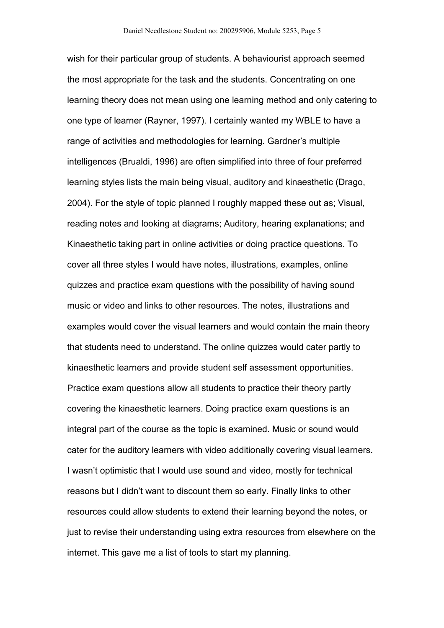wish for their particular group of students. A behaviourist approach seemed the most appropriate for the task and the students. Concentrating on one learning theory does not mean using one learning method and only catering to one type of learner (Rayner, 1997). I certainly wanted my WBLE to have a range of activities and methodologies for learning. Gardner's multiple intelligences (Brualdi, 1996) are often simplified into three of four preferred learning styles lists the main being visual, auditory and kinaesthetic (Drago, 2004). For the style of topic planned I roughly mapped these out as; Visual, reading notes and looking at diagrams; Auditory, hearing explanations; and Kinaesthetic taking part in online activities or doing practice questions. To cover all three styles I would have notes, illustrations, examples, online quizzes and practice exam questions with the possibility of having sound music or video and links to other resources. The notes, illustrations and examples would cover the visual learners and would contain the main theory that students need to understand. The online quizzes would cater partly to kinaesthetic learners and provide student self assessment opportunities. Practice exam questions allow all students to practice their theory partly covering the kinaesthetic learners. Doing practice exam questions is an integral part of the course as the topic is examined. Music or sound would cater for the auditory learners with video additionally covering visual learners. I wasn't optimistic that I would use sound and video, mostly for technical reasons but I didn't want to discount them so early. Finally links to other resources could allow students to extend their learning beyond the notes, or just to revise their understanding using extra resources from elsewhere on the internet. This gave me a list of tools to start my planning.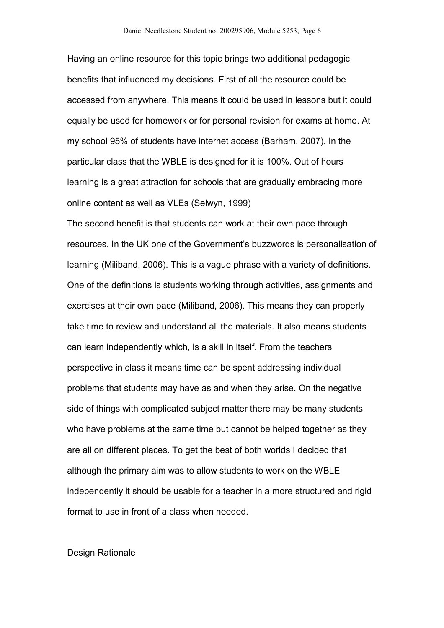Having an online resource for this topic brings two additional pedagogic benefits that influenced my decisions. First of all the resource could be accessed from anywhere. This means it could be used in lessons but it could equally be used for homework or for personal revision for exams at home. At my school 95% of students have internet access (Barham, 2007). In the particular class that the WBLE is designed for it is 100%. Out of hours learning is a great attraction for schools that are gradually embracing more online content as well as VLEs (Selwyn, 1999)

The second benefit is that students can work at their own pace through resources. In the UK one of the Government's buzzwords is personalisation of learning (Miliband, 2006). This is a vague phrase with a variety of definitions. One of the definitions is students working through activities, assignments and exercises at their own pace (Miliband, 2006). This means they can properly take time to review and understand all the materials. It also means students can learn independently which, is a skill in itself. From the teachers perspective in class it means time can be spent addressing individual problems that students may have as and when they arise. On the negative side of things with complicated subject matter there may be many students who have problems at the same time but cannot be helped together as they are all on different places. To get the best of both worlds I decided that although the primary aim was to allow students to work on the WBLE independently it should be usable for a teacher in a more structured and rigid format to use in front of a class when needed.

#### Design Rationale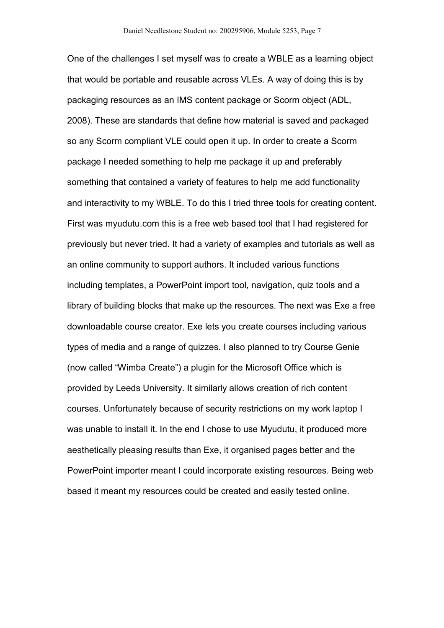One of the challenges I set myself was to create a WBLE as a learning object that would be portable and reusable across VLEs. A way of doing this is by packaging resources as an IMS content package or Scorm object (ADL, 2008). These are standards that define how material is saved and packaged so any Scorm compliant VLE could open it up. In order to create a Scorm package I needed something to help me package it up and preferably something that contained a variety of features to help me add functionality and interactivity to my WBLE. To do this I tried three tools for creating content. First was myudutu.com this is a free web based tool that I had registered for previously but never tried. It had a variety of examples and tutorials as well as an online community to support authors. It included various functions including templates, a PowerPoint import tool, navigation, quiz tools and a library of building blocks that make up the resources. The next was Exe a free downloadable course creator. Exe lets you create courses including various types of media and a range of quizzes. I also planned to try Course Genie (now called "Wimba Create") a plugin for the Microsoft Office which is provided by Leeds University. It similarly allows creation of rich content courses. Unfortunately because of security restrictions on my work laptop I was unable to install it. In the end I chose to use Myudutu, it produced more aesthetically pleasing results than Exe, it organised pages better and the PowerPoint importer meant I could incorporate existing resources. Being web based it meant my resources could be created and easily tested online.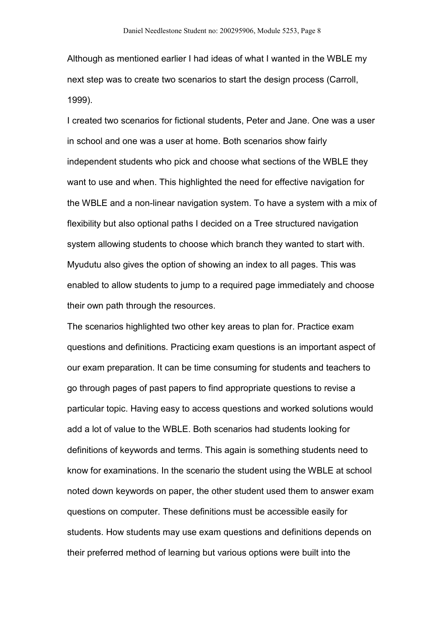Although as mentioned earlier I had ideas of what I wanted in the WBLE my next step was to create two scenarios to start the design process (Carroll, 1999).

I created two scenarios for fictional students, Peter and Jane. One was a user in school and one was a user at home. Both scenarios show fairly independent students who pick and choose what sections of the WBLE they want to use and when. This highlighted the need for effective navigation for the WBLE and a non-linear navigation system. To have a system with a mix of flexibility but also optional paths I decided on a Tree structured navigation system allowing students to choose which branch they wanted to start with. Myudutu also gives the option of showing an index to all pages. This was enabled to allow students to jump to a required page immediately and choose their own path through the resources.

The scenarios highlighted two other key areas to plan for. Practice exam questions and definitions. Practicing exam questions is an important aspect of our exam preparation. It can be time consuming for students and teachers to go through pages of past papers to find appropriate questions to revise a particular topic. Having easy to access questions and worked solutions would add a lot of value to the WBLE. Both scenarios had students looking for definitions of keywords and terms. This again is something students need to know for examinations. In the scenario the student using the WBLE at school noted down keywords on paper, the other student used them to answer exam questions on computer. These definitions must be accessible easily for students. How students may use exam questions and definitions depends on their preferred method of learning but various options were built into the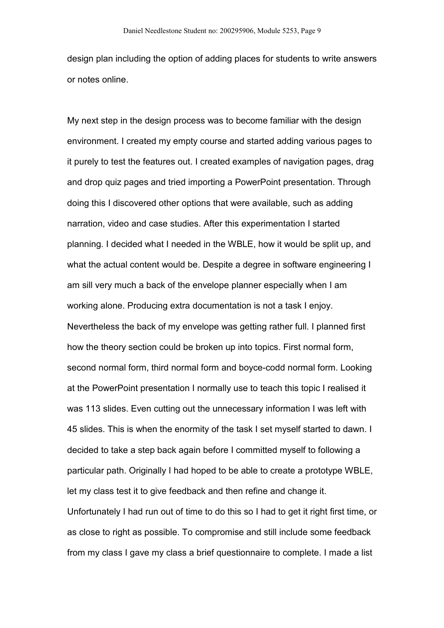design plan including the option of adding places for students to write answers or notes online.

My next step in the design process was to become familiar with the design environment. I created my empty course and started adding various pages to it purely to test the features out. I created examples of navigation pages, drag and drop quiz pages and tried importing a PowerPoint presentation. Through doing this I discovered other options that were available, such as adding narration, video and case studies. After this experimentation I started planning. I decided what I needed in the WBLE, how it would be split up, and what the actual content would be. Despite a degree in software engineering I am sill very much a back of the envelope planner especially when I am working alone. Producing extra documentation is not a task I enjoy. Nevertheless the back of my envelope was getting rather full. I planned first how the theory section could be broken up into topics. First normal form, second normal form, third normal form and boyce-codd normal form. Looking at the PowerPoint presentation I normally use to teach this topic I realised it was 113 slides. Even cutting out the unnecessary information I was left with 45 slides. This is when the enormity of the task I set myself started to dawn. I decided to take a step back again before I committed myself to following a particular path. Originally I had hoped to be able to create a prototype WBLE, let my class test it to give feedback and then refine and change it. Unfortunately I had run out of time to do this so I had to get it right first time, or as close to right as possible. To compromise and still include some feedback from my class I gave my class a brief questionnaire to complete. I made a list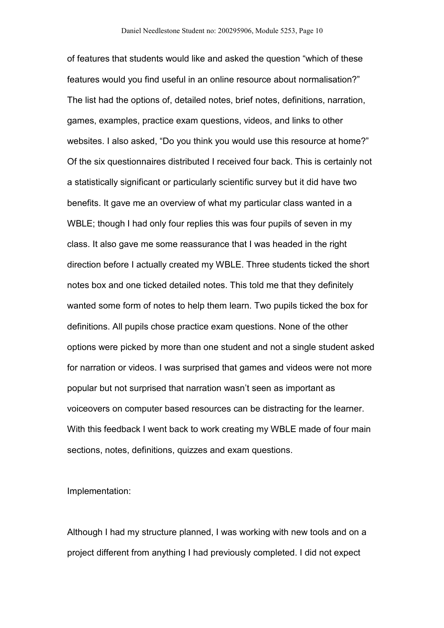of features that students would like and asked the question "which of these features would you find useful in an online resource about normalisation?" The list had the options of, detailed notes, brief notes, definitions, narration, games, examples, practice exam questions, videos, and links to other websites. I also asked, "Do you think you would use this resource at home?" Of the six questionnaires distributed I received four back. This is certainly not a statistically significant or particularly scientific survey but it did have two benefits. It gave me an overview of what my particular class wanted in a WBLE; though I had only four replies this was four pupils of seven in my class. It also gave me some reassurance that I was headed in the right direction before I actually created my WBLE. Three students ticked the short notes box and one ticked detailed notes. This told me that they definitely wanted some form of notes to help them learn. Two pupils ticked the box for definitions. All pupils chose practice exam questions. None of the other options were picked by more than one student and not a single student asked for narration or videos. I was surprised that games and videos were not more popular but not surprised that narration wasn't seen as important as voiceovers on computer based resources can be distracting for the learner. With this feedback I went back to work creating my WBLE made of four main sections, notes, definitions, quizzes and exam questions.

Implementation:

Although I had my structure planned, I was working with new tools and on a project different from anything I had previously completed. I did not expect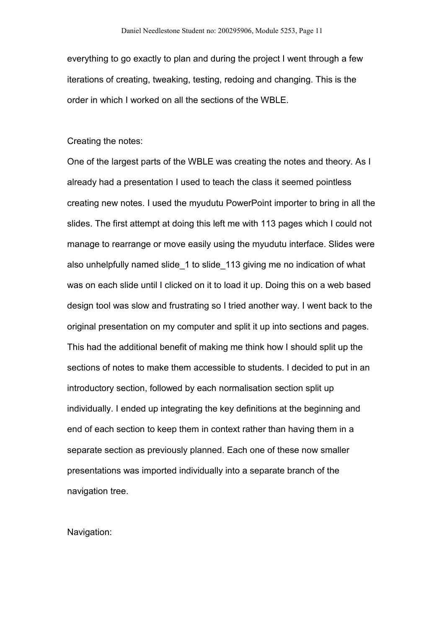everything to go exactly to plan and during the project I went through a few iterations of creating, tweaking, testing, redoing and changing. This is the order in which I worked on all the sections of the WBLE.

#### Creating the notes:

One of the largest parts of the WBLE was creating the notes and theory. As I already had a presentation I used to teach the class it seemed pointless creating new notes. I used the myudutu PowerPoint importer to bring in all the slides. The first attempt at doing this left me with 113 pages which I could not manage to rearrange or move easily using the myudutu interface. Slides were also unhelpfully named slide\_1 to slide\_113 giving me no indication of what was on each slide until I clicked on it to load it up. Doing this on a web based design tool was slow and frustrating so I tried another way. I went back to the original presentation on my computer and split it up into sections and pages. This had the additional benefit of making me think how I should split up the sections of notes to make them accessible to students. I decided to put in an introductory section, followed by each normalisation section split up individually. I ended up integrating the key definitions at the beginning and end of each section to keep them in context rather than having them in a separate section as previously planned. Each one of these now smaller presentations was imported individually into a separate branch of the navigation tree.

Navigation: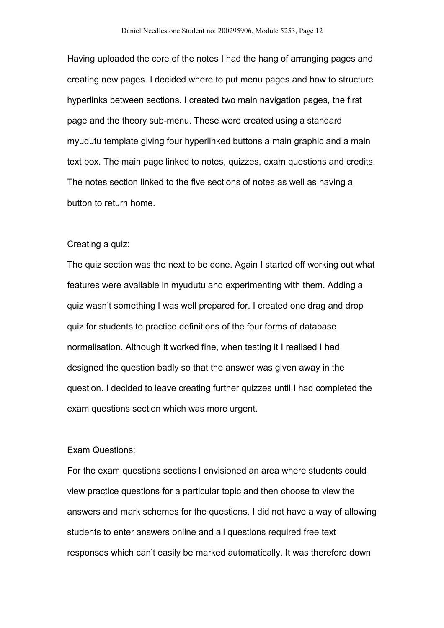Having uploaded the core of the notes I had the hang of arranging pages and creating new pages. I decided where to put menu pages and how to structure hyperlinks between sections. I created two main navigation pages, the first page and the theory sub-menu. These were created using a standard myudutu template giving four hyperlinked buttons a main graphic and a main text box. The main page linked to notes, quizzes, exam questions and credits. The notes section linked to the five sections of notes as well as having a button to return home.

#### Creating a quiz:

The quiz section was the next to be done. Again I started off working out what features were available in myudutu and experimenting with them. Adding a quiz wasn't something I was well prepared for. I created one drag and drop quiz for students to practice definitions of the four forms of database normalisation. Although it worked fine, when testing it I realised I had designed the question badly so that the answer was given away in the question. I decided to leave creating further quizzes until I had completed the exam questions section which was more urgent.

### Exam Questions:

For the exam questions sections I envisioned an area where students could view practice questions for a particular topic and then choose to view the answers and mark schemes for the questions. I did not have a way of allowing students to enter answers online and all questions required free text responses which can't easily be marked automatically. It was therefore down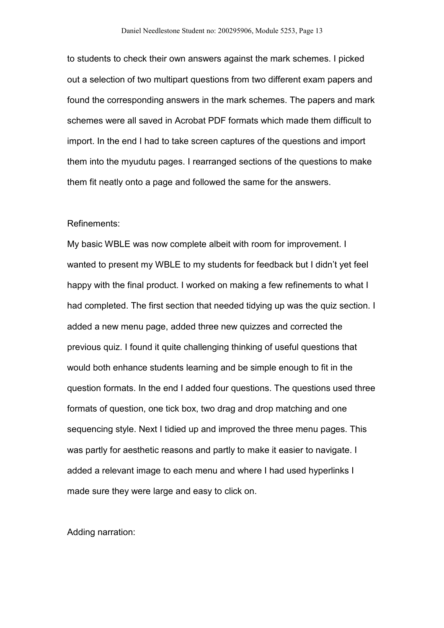to students to check their own answers against the mark schemes. I picked out a selection of two multipart questions from two different exam papers and found the corresponding answers in the mark schemes. The papers and mark schemes were all saved in Acrobat PDF formats which made them difficult to import. In the end I had to take screen captures of the questions and import them into the myudutu pages. I rearranged sections of the questions to make them fit neatly onto a page and followed the same for the answers.

#### Refinements:

My basic WBLE was now complete albeit with room for improvement. I wanted to present my WBLE to my students for feedback but I didn't yet feel happy with the final product. I worked on making a few refinements to what I had completed. The first section that needed tidying up was the quiz section. I added a new menu page, added three new quizzes and corrected the previous quiz. I found it quite challenging thinking of useful questions that would both enhance students learning and be simple enough to fit in the question formats. In the end I added four questions. The questions used three formats of question, one tick box, two drag and drop matching and one sequencing style. Next I tidied up and improved the three menu pages. This was partly for aesthetic reasons and partly to make it easier to navigate. I added a relevant image to each menu and where I had used hyperlinks I made sure they were large and easy to click on.

Adding narration: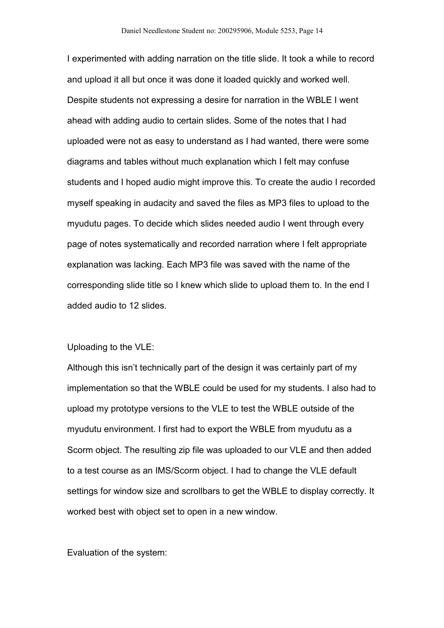I experimented with adding narration on the title slide. It took a while to record and upload it all but once it was done it loaded quickly and worked well. Despite students not expressing a desire for narration in the WBLE I went ahead with adding audio to certain slides. Some of the notes that I had uploaded were not as easy to understand as I had wanted, there were some diagrams and tables without much explanation which I felt may confuse students and I hoped audio might improve this. To create the audio I recorded myself speaking in audacity and saved the files as MP3 files to upload to the myudutu pages. To decide which slides needed audio I went through every page of notes systematically and recorded narration where I felt appropriate explanation was lacking. Each MP3 file was saved with the name of the corresponding slide title so I knew which slide to upload them to. In the end I added audio to 12 slides.

## Uploading to the VLE:

Although this isn't technically part of the design it was certainly part of my implementation so that the WBLE could be used for my students. I also had to upload my prototype versions to the VLE to test the WBLE outside of the myudutu environment. I first had to export the WBLE from myudutu as a Scorm object. The resulting zip file was uploaded to our VLE and then added to a test course as an IMS/Scorm object. I had to change the VLE default settings for window size and scrollbars to get the WBLE to display correctly. It worked best with object set to open in a new window.

Evaluation of the system: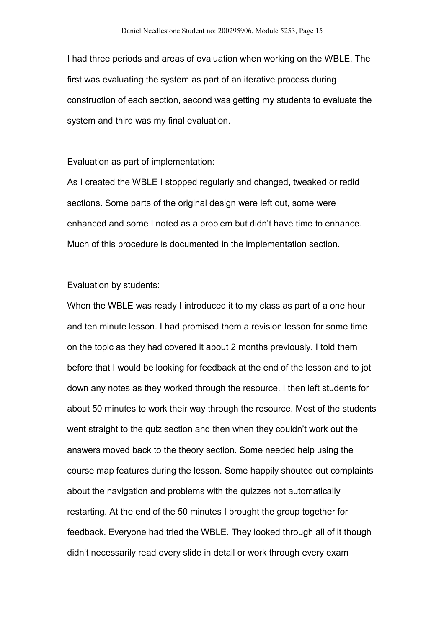I had three periods and areas of evaluation when working on the WBLE. The first was evaluating the system as part of an iterative process during construction of each section, second was getting my students to evaluate the system and third was my final evaluation.

## Evaluation as part of implementation:

As I created the WBLE I stopped regularly and changed, tweaked or redid sections. Some parts of the original design were left out, some were enhanced and some I noted as a problem but didn't have time to enhance. Much of this procedure is documented in the implementation section.

# Evaluation by students:

When the WBLE was ready I introduced it to my class as part of a one hour and ten minute lesson. I had promised them a revision lesson for some time on the topic as they had covered it about 2 months previously. I told them before that I would be looking for feedback at the end of the lesson and to jot down any notes as they worked through the resource. I then left students for about 50 minutes to work their way through the resource. Most of the students went straight to the quiz section and then when they couldn't work out the answers moved back to the theory section. Some needed help using the course map features during the lesson. Some happily shouted out complaints about the navigation and problems with the quizzes not automatically restarting. At the end of the 50 minutes I brought the group together for feedback. Everyone had tried the WBLE. They looked through all of it though didn't necessarily read every slide in detail or work through every exam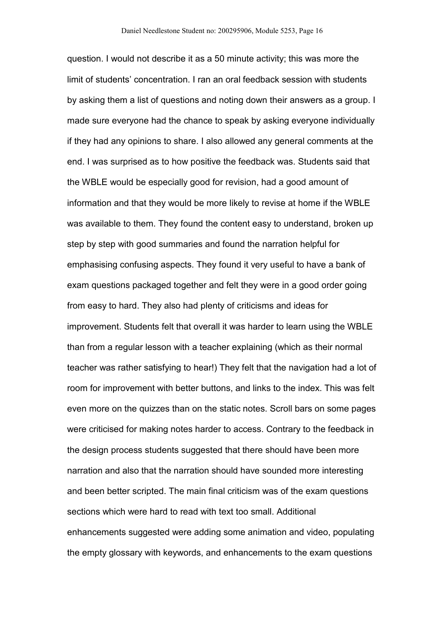question. I would not describe it as a 50 minute activity; this was more the limit of students' concentration. I ran an oral feedback session with students by asking them a list of questions and noting down their answers as a group. I made sure everyone had the chance to speak by asking everyone individually if they had any opinions to share. I also allowed any general comments at the end. I was surprised as to how positive the feedback was. Students said that the WBLE would be especially good for revision, had a good amount of information and that they would be more likely to revise at home if the WBLE was available to them. They found the content easy to understand, broken up step by step with good summaries and found the narration helpful for emphasising confusing aspects. They found it very useful to have a bank of exam questions packaged together and felt they were in a good order going from easy to hard. They also had plenty of criticisms and ideas for improvement. Students felt that overall it was harder to learn using the WBLE than from a regular lesson with a teacher explaining (which as their normal teacher was rather satisfying to hear!) They felt that the navigation had a lot of room for improvement with better buttons, and links to the index. This was felt even more on the quizzes than on the static notes. Scroll bars on some pages were criticised for making notes harder to access. Contrary to the feedback in the design process students suggested that there should have been more narration and also that the narration should have sounded more interesting and been better scripted. The main final criticism was of the exam questions sections which were hard to read with text too small. Additional enhancements suggested were adding some animation and video, populating the empty glossary with keywords, and enhancements to the exam questions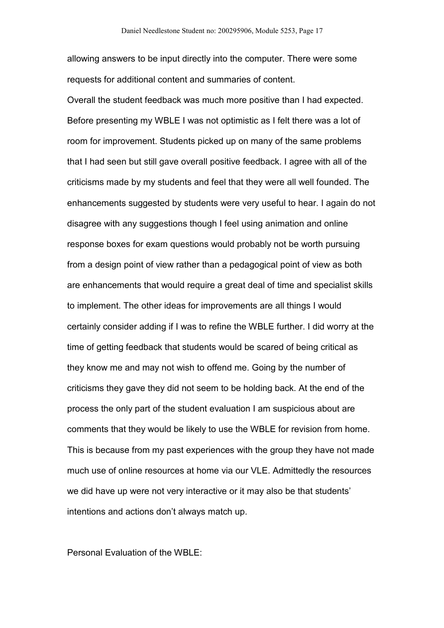allowing answers to be input directly into the computer. There were some requests for additional content and summaries of content.

Overall the student feedback was much more positive than I had expected. Before presenting my WBLE I was not optimistic as I felt there was a lot of room for improvement. Students picked up on many of the same problems that I had seen but still gave overall positive feedback. I agree with all of the criticisms made by my students and feel that they were all well founded. The enhancements suggested by students were very useful to hear. I again do not disagree with any suggestions though I feel using animation and online response boxes for exam questions would probably not be worth pursuing from a design point of view rather than a pedagogical point of view as both are enhancements that would require a great deal of time and specialist skills to implement. The other ideas for improvements are all things I would certainly consider adding if I was to refine the WBLE further. I did worry at the time of getting feedback that students would be scared of being critical as they know me and may not wish to offend me. Going by the number of criticisms they gave they did not seem to be holding back. At the end of the process the only part of the student evaluation I am suspicious about are comments that they would be likely to use the WBLE for revision from home. This is because from my past experiences with the group they have not made much use of online resources at home via our VLE. Admittedly the resources we did have up were not very interactive or it may also be that students' intentions and actions don't always match up.

Personal Evaluation of the WBLE: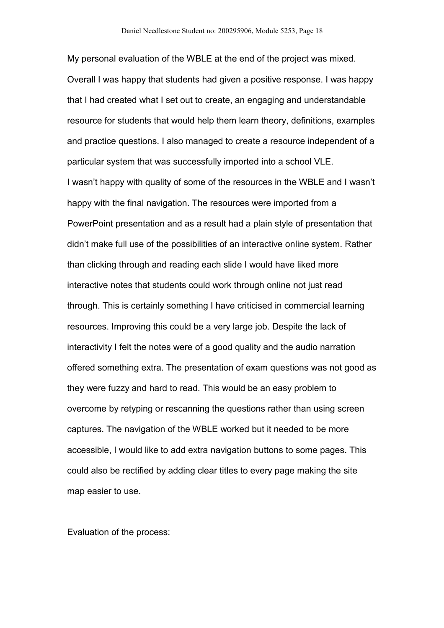My personal evaluation of the WBLE at the end of the project was mixed. Overall I was happy that students had given a positive response. I was happy that I had created what I set out to create, an engaging and understandable resource for students that would help them learn theory, definitions, examples and practice questions. I also managed to create a resource independent of a particular system that was successfully imported into a school VLE. I wasn't happy with quality of some of the resources in the WBLE and I wasn't happy with the final navigation. The resources were imported from a PowerPoint presentation and as a result had a plain style of presentation that didn't make full use of the possibilities of an interactive online system. Rather than clicking through and reading each slide I would have liked more interactive notes that students could work through online not just read through. This is certainly something I have criticised in commercial learning resources. Improving this could be a very large job. Despite the lack of interactivity I felt the notes were of a good quality and the audio narration offered something extra. The presentation of exam questions was not good as they were fuzzy and hard to read. This would be an easy problem to overcome by retyping or rescanning the questions rather than using screen captures. The navigation of the WBLE worked but it needed to be more accessible, I would like to add extra navigation buttons to some pages. This could also be rectified by adding clear titles to every page making the site map easier to use.

Evaluation of the process: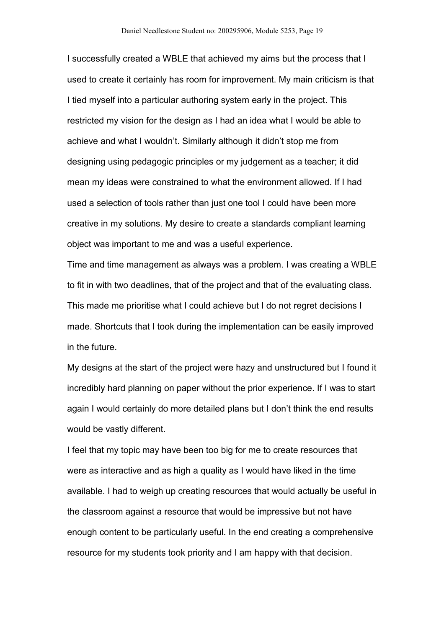I successfully created a WBLE that achieved my aims but the process that I used to create it certainly has room for improvement. My main criticism is that I tied myself into a particular authoring system early in the project. This restricted my vision for the design as I had an idea what I would be able to achieve and what I wouldn't. Similarly although it didn't stop me from designing using pedagogic principles or my judgement as a teacher; it did mean my ideas were constrained to what the environment allowed. If I had used a selection of tools rather than just one tool I could have been more creative in my solutions. My desire to create a standards compliant learning object was important to me and was a useful experience.

Time and time management as always was a problem. I was creating a WBLE to fit in with two deadlines, that of the project and that of the evaluating class. This made me prioritise what I could achieve but I do not regret decisions I made. Shortcuts that I took during the implementation can be easily improved in the future.

My designs at the start of the project were hazy and unstructured but I found it incredibly hard planning on paper without the prior experience. If I was to start again I would certainly do more detailed plans but I don't think the end results would be vastly different.

I feel that my topic may have been too big for me to create resources that were as interactive and as high a quality as I would have liked in the time available. I had to weigh up creating resources that would actually be useful in the classroom against a resource that would be impressive but not have enough content to be particularly useful. In the end creating a comprehensive resource for my students took priority and I am happy with that decision.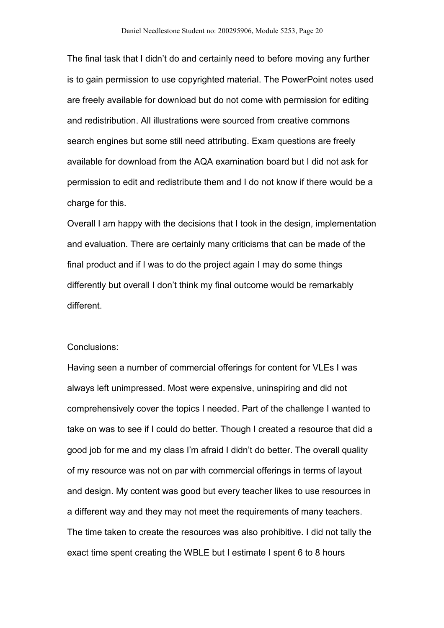The final task that I didn't do and certainly need to before moving any further is to gain permission to use copyrighted material. The PowerPoint notes used are freely available for download but do not come with permission for editing and redistribution. All illustrations were sourced from creative commons search engines but some still need attributing. Exam questions are freely available for download from the AQA examination board but I did not ask for permission to edit and redistribute them and I do not know if there would be a charge for this.

Overall I am happy with the decisions that I took in the design, implementation and evaluation. There are certainly many criticisms that can be made of the final product and if I was to do the project again I may do some things differently but overall I don't think my final outcome would be remarkably different.

# Conclusions:

Having seen a number of commercial offerings for content for VLEs I was always left unimpressed. Most were expensive, uninspiring and did not comprehensively cover the topics I needed. Part of the challenge I wanted to take on was to see if I could do better. Though I created a resource that did a good job for me and my class I'm afraid I didn't do better. The overall quality of my resource was not on par with commercial offerings in terms of layout and design. My content was good but every teacher likes to use resources in a different way and they may not meet the requirements of many teachers. The time taken to create the resources was also prohibitive. I did not tally the exact time spent creating the WBLE but I estimate I spent 6 to 8 hours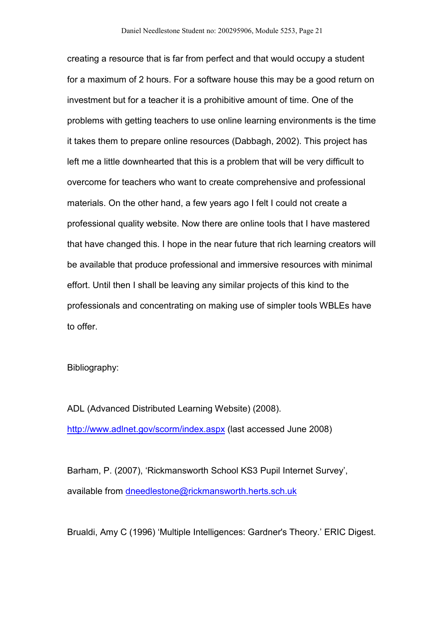creating a resource that is far from perfect and that would occupy a student for a maximum of 2 hours. For a software house this may be a good return on investment but for a teacher it is a prohibitive amount of time. One of the problems with getting teachers to use online learning environments is the time it takes them to prepare online resources (Dabbagh, 2002). This project has left me a little downhearted that this is a problem that will be very difficult to overcome for teachers who want to create comprehensive and professional materials. On the other hand, a few years ago I felt I could not create a professional quality website. Now there are online tools that I have mastered that have changed this. I hope in the near future that rich learning creators will be available that produce professional and immersive resources with minimal effort. Until then I shall be leaving any similar projects of this kind to the professionals and concentrating on making use of simpler tools WBLEs have to offer.

Bibliography:

ADL (Advanced Distributed Learning Website) (2008). <http://www.adlnet.gov/scorm/index.aspx> (last accessed June 2008)

Barham, P. (2007), 'Rickmansworth School KS3 Pupil Internet Survey', available from [dneedlestone@rickmansworth.herts.sch.uk](mailto:dneedlestone@rickmansworth.herts.sch.uk)

Brualdi, Amy C (1996) 'Multiple Intelligences: Gardner's Theory.' ERIC Digest.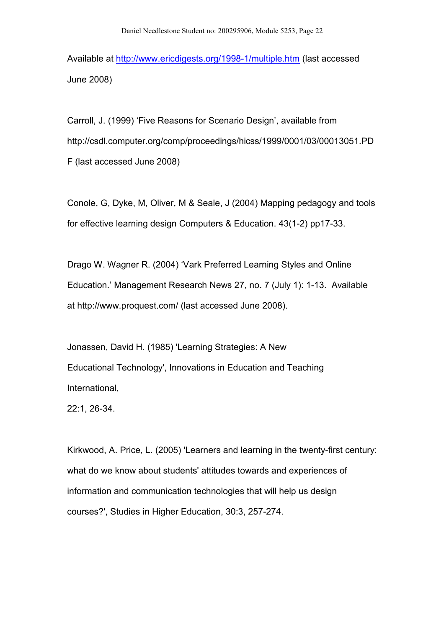Available at<http://www.ericdigests.org/1998-1/multiple.htm>(last accessed June 2008)

Carroll, J. (1999) 'Five Reasons for Scenario Design', available from http://csdl.computer.org/comp/proceedings/hicss/1999/0001/03/00013051.PD F (last accessed June 2008)

Conole, G, Dyke, M, Oliver, M & Seale, J (2004) Mapping pedagogy and tools for effective learning design Computers & Education. 43(1-2) pp17-33.

Drago W. Wagner R. (2004) 'Vark Preferred Learning Styles and Online Education.' Management Research News 27, no. 7 (July 1): 1-13. Available at http://www.proquest.com/ (last accessed June 2008).

Jonassen, David H. (1985) 'Learning Strategies: A New Educational Technology', Innovations in Education and Teaching International,

22:1, 26-34.

Kirkwood, A. Price, L. (2005) 'Learners and learning in the twenty-first century: what do we know about students' attitudes towards and experiences of information and communication technologies that will help us design courses?', Studies in Higher Education, 30:3, 257-274.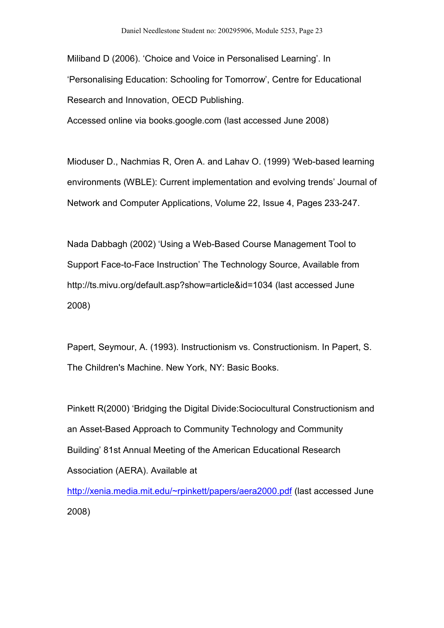Miliband D (2006). 'Choice and Voice in Personalised Learning'. In 'Personalising Education: Schooling for Tomorrow', Centre for Educational Research and Innovation, OECD Publishing.

Accessed online via books.google.com (last accessed June 2008)

Mioduser D., Nachmias R, Oren A. and Lahav O. (1999) 'Web-based learning environments (WBLE): Current implementation and evolving trends' Journal of Network and Computer Applications, Volume 22, Issue 4, Pages 233-247.

Nada Dabbagh (2002) 'Using a Web-Based Course Management Tool to Support Face-to-Face Instruction' The Technology Source, Available from http://ts.mivu.org/default.asp?show=article&id=1034 (last accessed June 2008)

Papert, Seymour, A. (1993). Instructionism vs. Constructionism. In Papert, S. The Children's Machine. New York, NY: Basic Books.

Pinkett R(2000) 'Bridging the Digital Divide:Sociocultural Constructionism and an Asset-Based Approach to Community Technology and Community Building' 81st Annual Meeting of the American Educational Research Association (AERA). Available at

<http://xenia.media.mit.edu/~rpinkett/papers/aera2000.pdf> (last accessed June 2008)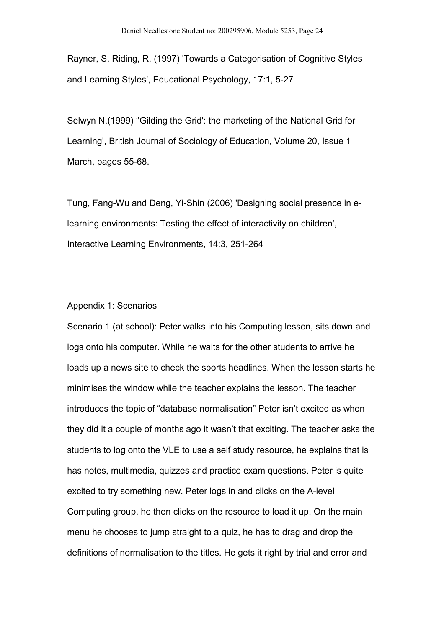Rayner, S. Riding, R. (1997) 'Towards a Categorisation of Cognitive Styles and Learning Styles', Educational Psychology, 17:1, 5-27

Selwyn N.(1999) ''Gilding the Grid': the marketing of the National Grid for Learning', British Journal of Sociology of Education, Volume 20, Issue 1 March, pages 55-68.

Tung, Fang-Wu and Deng, Yi-Shin (2006) 'Designing social presence in elearning environments: Testing the effect of interactivity on children', Interactive Learning Environments, 14:3, 251-264

# Appendix 1: Scenarios

Scenario 1 (at school): Peter walks into his Computing lesson, sits down and logs onto his computer. While he waits for the other students to arrive he loads up a news site to check the sports headlines. When the lesson starts he minimises the window while the teacher explains the lesson. The teacher introduces the topic of "database normalisation" Peter isn't excited as when they did it a couple of months ago it wasn't that exciting. The teacher asks the students to log onto the VLE to use a self study resource, he explains that is has notes, multimedia, quizzes and practice exam questions. Peter is quite excited to try something new. Peter logs in and clicks on the A-level Computing group, he then clicks on the resource to load it up. On the main menu he chooses to jump straight to a quiz, he has to drag and drop the definitions of normalisation to the titles. He gets it right by trial and error and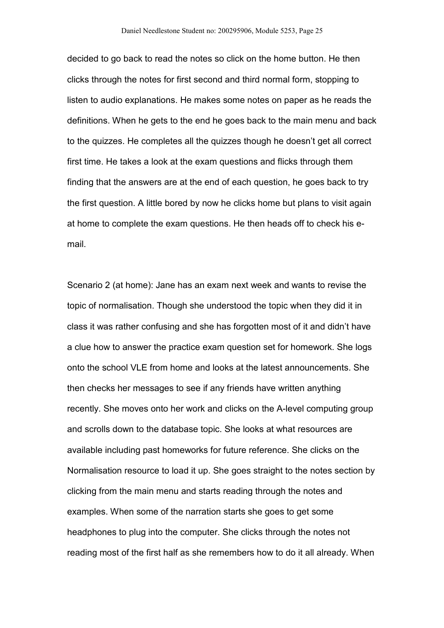decided to go back to read the notes so click on the home button. He then clicks through the notes for first second and third normal form, stopping to listen to audio explanations. He makes some notes on paper as he reads the definitions. When he gets to the end he goes back to the main menu and back to the quizzes. He completes all the quizzes though he doesn't get all correct first time. He takes a look at the exam questions and flicks through them finding that the answers are at the end of each question, he goes back to try the first question. A little bored by now he clicks home but plans to visit again at home to complete the exam questions. He then heads off to check his email.

Scenario 2 (at home): Jane has an exam next week and wants to revise the topic of normalisation. Though she understood the topic when they did it in class it was rather confusing and she has forgotten most of it and didn't have a clue how to answer the practice exam question set for homework. She logs onto the school VLE from home and looks at the latest announcements. She then checks her messages to see if any friends have written anything recently. She moves onto her work and clicks on the A-level computing group and scrolls down to the database topic. She looks at what resources are available including past homeworks for future reference. She clicks on the Normalisation resource to load it up. She goes straight to the notes section by clicking from the main menu and starts reading through the notes and examples. When some of the narration starts she goes to get some headphones to plug into the computer. She clicks through the notes not reading most of the first half as she remembers how to do it all already. When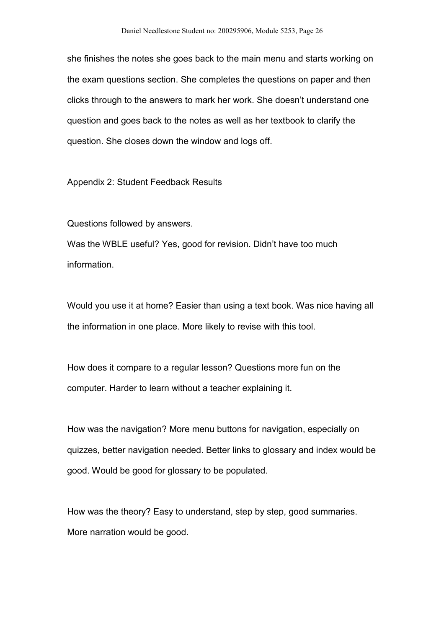she finishes the notes she goes back to the main menu and starts working on the exam questions section. She completes the questions on paper and then clicks through to the answers to mark her work. She doesn't understand one question and goes back to the notes as well as her textbook to clarify the question. She closes down the window and logs off.

Appendix 2: Student Feedback Results

Questions followed by answers.

Was the WBLE useful? Yes, good for revision. Didn't have too much information.

Would you use it at home? Easier than using a text book. Was nice having all the information in one place. More likely to revise with this tool.

How does it compare to a regular lesson? Questions more fun on the computer. Harder to learn without a teacher explaining it.

How was the navigation? More menu buttons for navigation, especially on quizzes, better navigation needed. Better links to glossary and index would be good. Would be good for glossary to be populated.

How was the theory? Easy to understand, step by step, good summaries. More narration would be good.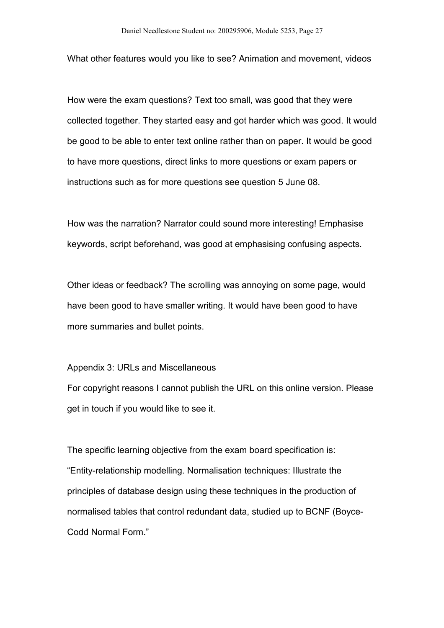What other features would you like to see? Animation and movement, videos

How were the exam questions? Text too small, was good that they were collected together. They started easy and got harder which was good. It would be good to be able to enter text online rather than on paper. It would be good to have more questions, direct links to more questions or exam papers or instructions such as for more questions see question 5 June 08.

How was the narration? Narrator could sound more interesting! Emphasise keywords, script beforehand, was good at emphasising confusing aspects.

Other ideas or feedback? The scrolling was annoying on some page, would have been good to have smaller writing. It would have been good to have more summaries and bullet points.

#### Appendix 3: URLs and Miscellaneous

For copyright reasons I cannot publish the URL on this online version. Please get in touch if you would like to see it.

The specific learning objective from the exam board specification is: "Entity-relationship modelling. Normalisation techniques: Illustrate the principles of database design using these techniques in the production of normalised tables that control redundant data, studied up to BCNF (Boyce-Codd Normal Form."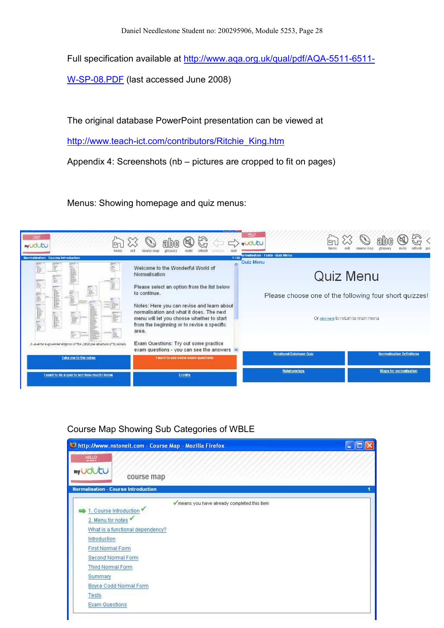Full specification available at [http://www.aqa.org.uk/qual/pdf/AQA-5511-6511](http://www.aqa.org.uk/qual/pdf/AQA-5511-6511-W-SP-08.PDF)-

[W-SP-08.PDF](http://www.aqa.org.uk/qual/pdf/AQA-5511-6511-W-SP-08.PDF) (last accessed June 2008)

The original database PowerPoint presentation can be viewed at

[http://www.teach-ict.com/contributors/Ritchie\\_King.htm](http://www.teach-ict.com/contributors/Ritchie_King.htm)

Appendix 4: Screenshots (nb – pictures are cropped to fit on pages)

Menus: Showing homepage and quiz menus:



# Course Map Showing Sub Categories of WBLE

| Chttp://www.nstoneit.com - Course Map - Mozilla Firefox |  |
|---------------------------------------------------------|--|
| HELLO<br>my Udutu<br>course map                         |  |
| <b>Normalisation - Course Introduction</b>              |  |
| means you have already completed this item              |  |
| Course Introduction                                     |  |
| 2. Menu for notes                                       |  |
| What is a functional dependency?                        |  |
| Introduction                                            |  |
| <b>First Normal Form</b>                                |  |
| Second Normal Form                                      |  |
| Third Normal Form                                       |  |
| Summary                                                 |  |
| Boyce Codd Normal Form                                  |  |
| <b>Tests</b>                                            |  |
| <b>Exam Questions</b>                                   |  |